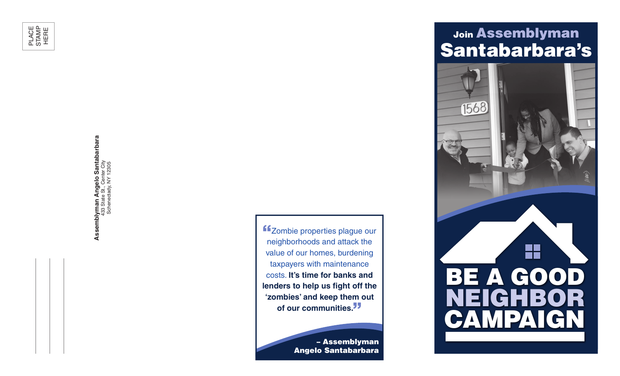

Assemblyman Angelo Santabarbara<br>433 State St., Center City<br>Schenectady, NY 12305 **Assemblyman Angelo Santabarbara** 433 State St., Center City Schenectady, NY 12305

**f**Zombie properties plague our neighborhoods and attack the value of our homes, burdening taxpayers with maintenance costs. **It's time for banks and lenders to help us fight off the 'zombies' and keep them out**  of our communities.<sup>"</sup>

> – Assemblyman Angelo Santabarbara

## Join Assemblyman Santabarbara's